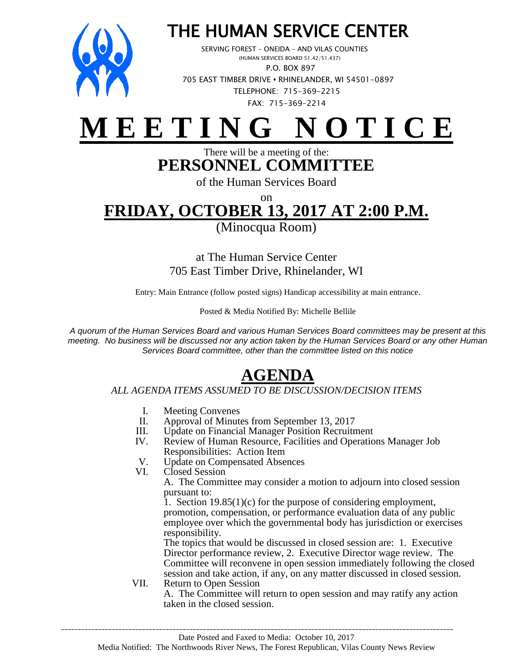

### THE HUMAN SERVICE CENTER

 SERVING FOREST – ONEIDA – AND VILAS COUNTIES (HUMAN SERVICES BOARD 51.42/51.437) P.O. BOX 897 705 EAST TIMBER DRIVE **•** RHINELANDER, WI 54501-0897 TELEPHONE: 715-369-2215 FAX: 715-369-2214

# **M E E T I N G N O T I C E**

#### There will be a meeting of the: **PERSONNEL COMMITTEE**

of the Human Services Board

on

## **FRIDAY, OCTOBER 13, 2017 AT 2:00 P.M.**

(Minocqua Room)

at The Human Service Center 705 East Timber Drive, Rhinelander, WI

Entry: Main Entrance (follow posted signs) Handicap accessibility at main entrance.

Posted & Media Notified By: Michelle Bellile

*A quorum of the Human Services Board and various Human Services Board committees may be present at this meeting. No business will be discussed nor any action taken by the Human Services Board or any other Human Services Board committee, other than the committee listed on this notice*

### **AGENDA**

#### *ALL AGENDA ITEMS ASSUMED TO BE DISCUSSION/DECISION ITEMS*

- I. Meeting Convenes<br>II. Approval of Minute
- Approval of Minutes from September 13, 2017
- III. Update on Financial Manager Position Recruitment<br>IV. Review of Human Resource, Facilities and Operatio
- Review of Human Resource, Facilities and Operations Manager Job Responsibilities: Action Item
- V. Update on Compensated Absences<br>VI. Closed Session
- Closed Session

A. The Committee may consider a motion to adjourn into closed session pursuant to:

1. Section 19.85(1)(c) for the purpose of considering employment, promotion, compensation, or performance evaluation data of any public employee over which the governmental body has jurisdiction or exercises responsibility.

The topics that would be discussed in closed session are: 1. Executive Director performance review, 2. Executive Director wage review. The Committee will reconvene in open session immediately following the closed session and take action, if any, on any matter discussed in closed session.

VII. Return to Open Session A. The Committee will return to open session and may ratify any action taken in the closed session.

\_\_\_\_\_\_\_\_\_\_\_\_\_\_\_\_\_\_\_\_\_\_\_\_\_\_\_\_\_\_\_\_\_\_\_\_\_\_\_\_\_\_\_\_\_\_\_\_\_\_\_\_\_\_\_\_\_\_\_\_\_\_\_\_\_\_\_\_\_\_\_\_\_\_\_\_\_\_\_\_\_\_\_\_\_\_\_\_\_\_\_\_\_\_\_\_\_\_\_\_\_\_\_\_\_\_\_\_\_\_\_\_\_\_\_\_